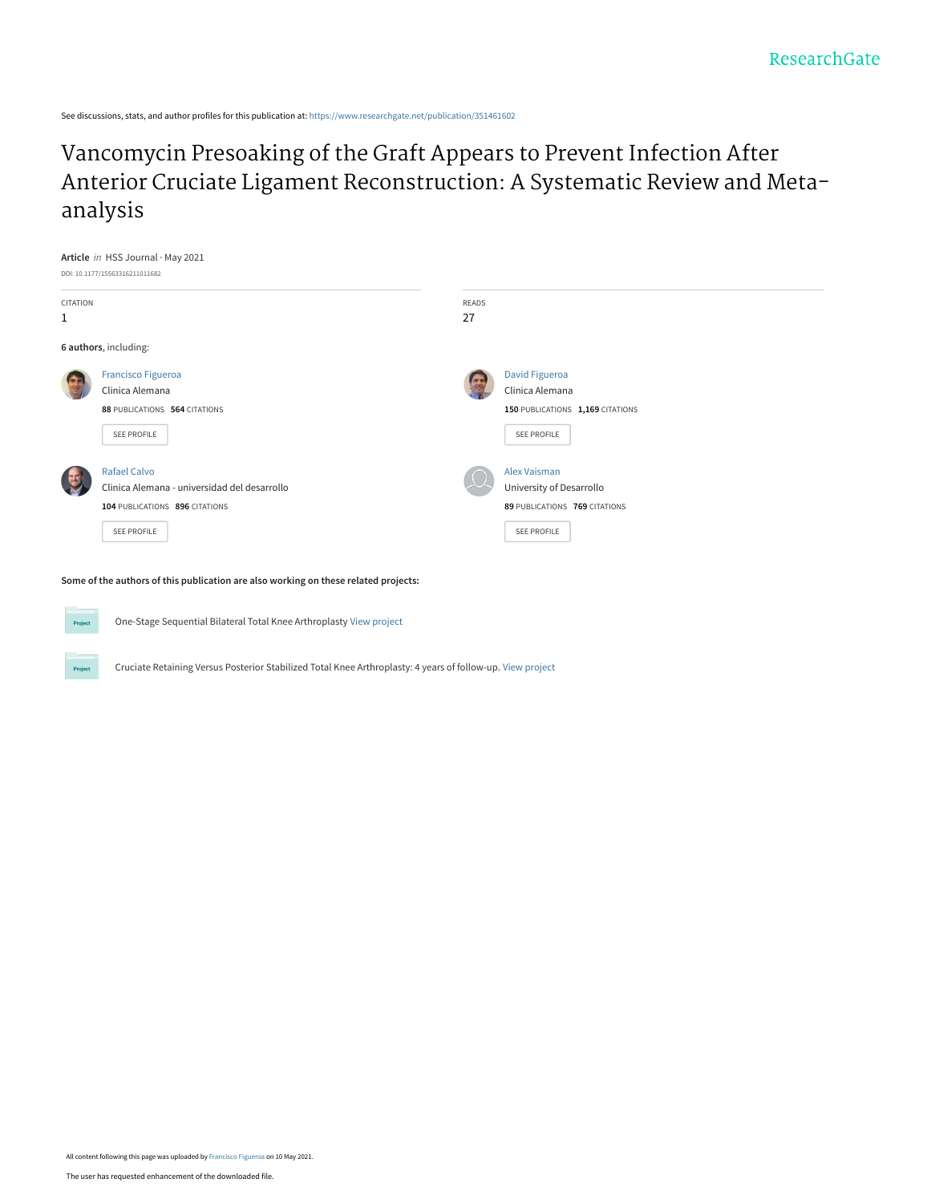See discussions, stats, and author profiles for this publication at: [https://www.researchgate.net/publication/351461602](https://www.researchgate.net/publication/351461602_Vancomycin_Presoaking_of_the_Graft_Appears_to_Prevent_Infection_After_Anterior_Cruciate_Ligament_Reconstruction_A_Systematic_Review_and_Meta-analysis?enrichId=rgreq-18e4c9790ab45686bbf0dc9aa3fb4362-XXX&enrichSource=Y292ZXJQYWdlOzM1MTQ2MTYwMjtBUzoxMDIyMDA4NTk4OTk5MDQyQDE2MjA2NzcyNDY3NjY%3D&el=1_x_2&_esc=publicationCoverPdf)

## Vancomycin Presoaking of the Graft Appears to Prevent Infection After [Anterior Cruciate Ligament Reconstruction: A Systematic Review and Meta](https://www.researchgate.net/publication/351461602_Vancomycin_Presoaking_of_the_Graft_Appears_to_Prevent_Infection_After_Anterior_Cruciate_Ligament_Reconstruction_A_Systematic_Review_and_Meta-analysis?enrichId=rgreq-18e4c9790ab45686bbf0dc9aa3fb4362-XXX&enrichSource=Y292ZXJQYWdlOzM1MTQ2MTYwMjtBUzoxMDIyMDA4NTk4OTk5MDQyQDE2MjA2NzcyNDY3NjY%3D&el=1_x_3&_esc=publicationCoverPdf)analysis



**Some of the authors of this publication are also working on these related projects:**



Projec

One-Stage Sequential Bilateral Total Knee Arthroplasty [View project](https://www.researchgate.net/project/One-Stage-Sequential-Bilateral-Total-Knee-Arthroplasty?enrichId=rgreq-18e4c9790ab45686bbf0dc9aa3fb4362-XXX&enrichSource=Y292ZXJQYWdlOzM1MTQ2MTYwMjtBUzoxMDIyMDA4NTk4OTk5MDQyQDE2MjA2NzcyNDY3NjY%3D&el=1_x_9&_esc=publicationCoverPdf)

Cruciate Retaining Versus Posterior Stabilized Total Knee Arthroplasty: 4 years of follow-up. [View project](https://www.researchgate.net/project/Cruciate-Retaining-Versus-Posterior-Stabilized-Total-Knee-Arthroplasty-4-years-of-follow-up?enrichId=rgreq-18e4c9790ab45686bbf0dc9aa3fb4362-XXX&enrichSource=Y292ZXJQYWdlOzM1MTQ2MTYwMjtBUzoxMDIyMDA4NTk4OTk5MDQyQDE2MjA2NzcyNDY3NjY%3D&el=1_x_9&_esc=publicationCoverPdf)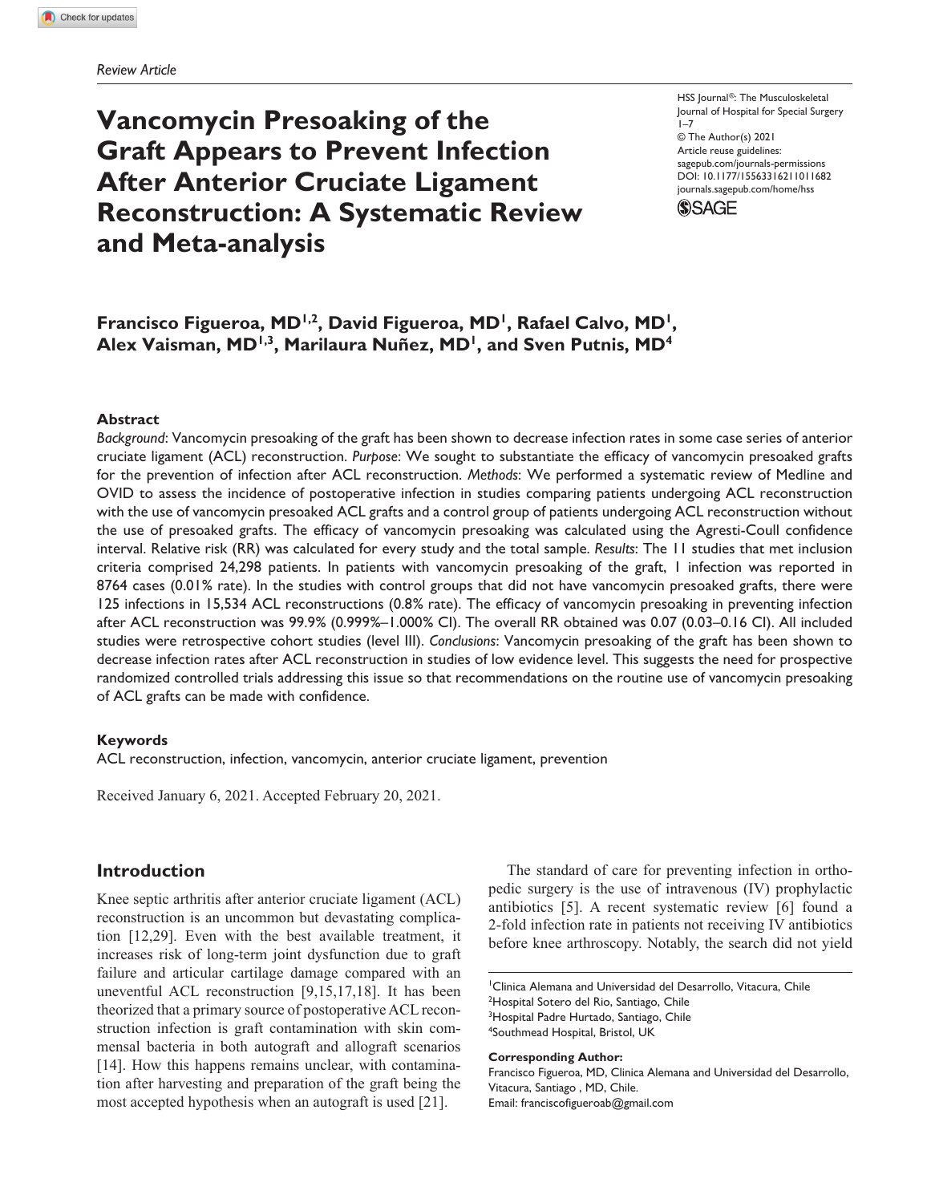# **Vancomycin Presoaking of the Graft Appears to Prevent Infection After Anterior Cruciate Ligament Reconstruction: A Systematic Review and Meta-analysis**

HSS Journal®: The Musculoskeletal Journal of Hospital for Special Surgery  $1 - 7$ © The Author(s) 2021 Article reuse guidelines: [sagepub.com/journals-permissions](https://us.sagepub.com/en-us/journals-permissions) https://doi.org/10.1177/15563316211011682 DOI: 10.1177/15563316211011682 [journals.sagepub.com/home/hss](http://journals.sagepub.com/home/hss) **SSAGE** 

## Francisco Figueroa, MD<sup>1,2</sup>, David Figueroa, MD<sup>1</sup>, Rafael Calvo, MD<sup>1</sup>, Alex Vaisman, MD<sup>1,3</sup>, Marilaura Nuñez, MD<sup>1</sup>, and Sven Putnis, MD<sup>4</sup>

#### **Abstract**

*Background*: Vancomycin presoaking of the graft has been shown to decrease infection rates in some case series of anterior cruciate ligament (ACL) reconstruction. *Purpose*: We sought to substantiate the efficacy of vancomycin presoaked grafts for the prevention of infection after ACL reconstruction. *Methods*: We performed a systematic review of Medline and OVID to assess the incidence of postoperative infection in studies comparing patients undergoing ACL reconstruction with the use of vancomycin presoaked ACL grafts and a control group of patients undergoing ACL reconstruction without the use of presoaked grafts. The efficacy of vancomycin presoaking was calculated using the Agresti-Coull confidence interval. Relative risk (RR) was calculated for every study and the total sample. *Results*: The 11 studies that met inclusion criteria comprised 24,298 patients. In patients with vancomycin presoaking of the graft, 1 infection was reported in 8764 cases (0.01% rate). In the studies with control groups that did not have vancomycin presoaked grafts, there were 125 infections in 15,534 ACL reconstructions (0.8% rate). The efficacy of vancomycin presoaking in preventing infection after ACL reconstruction was 99.9% (0.999%–1.000% CI). The overall RR obtained was 0.07 (0.03–0.16 CI). All included studies were retrospective cohort studies (level III). *Conclusions*: Vancomycin presoaking of the graft has been shown to decrease infection rates after ACL reconstruction in studies of low evidence level. This suggests the need for prospective randomized controlled trials addressing this issue so that recommendations on the routine use of vancomycin presoaking of ACL grafts can be made with confidence.

#### **Keywords**

ACL reconstruction, infection, vancomycin, anterior cruciate ligament, prevention

Received January 6, 2021. Accepted February 20, 2021.

## **Introduction**

Knee septic arthritis after anterior cruciate ligament (ACL) reconstruction is an uncommon but devastating complication [12,29]. Even with the best available treatment, it increases risk of long-term joint dysfunction due to graft failure and articular cartilage damage compared with an uneventful ACL reconstruction [9,15,17,18]. It has been theorized that a primary source of postoperative ACL reconstruction infection is graft contamination with skin commensal bacteria in both autograft and allograft scenarios [14]. How this happens remains unclear, with contamination after harvesting and preparation of the graft being the most accepted hypothesis when an autograft is used [21].

The standard of care for preventing infection in orthopedic surgery is the use of intravenous (IV) prophylactic antibiotics [5]. A recent systematic review [6] found a 2-fold infection rate in patients not receiving IV antibiotics before knee arthroscopy. Notably, the search did not yield

1 Clinica Alemana and Universidad del Desarrollo, Vitacura, Chile <sup>2</sup>Hospital Sotero del Rio, Santiago, Chile <sup>3</sup>Hospital Padre Hurtado, Santiago, Chile 4 Southmead Hospital, Bristol, UK

**Corresponding Author:**

Francisco Figueroa, MD, Clinica Alemana and Universidad del Desarrollo, Vitacura, Santiago , MD, Chile. Email: [franciscofigueroab@gmail.com](mailto:franciscofigueroab@gmail.com)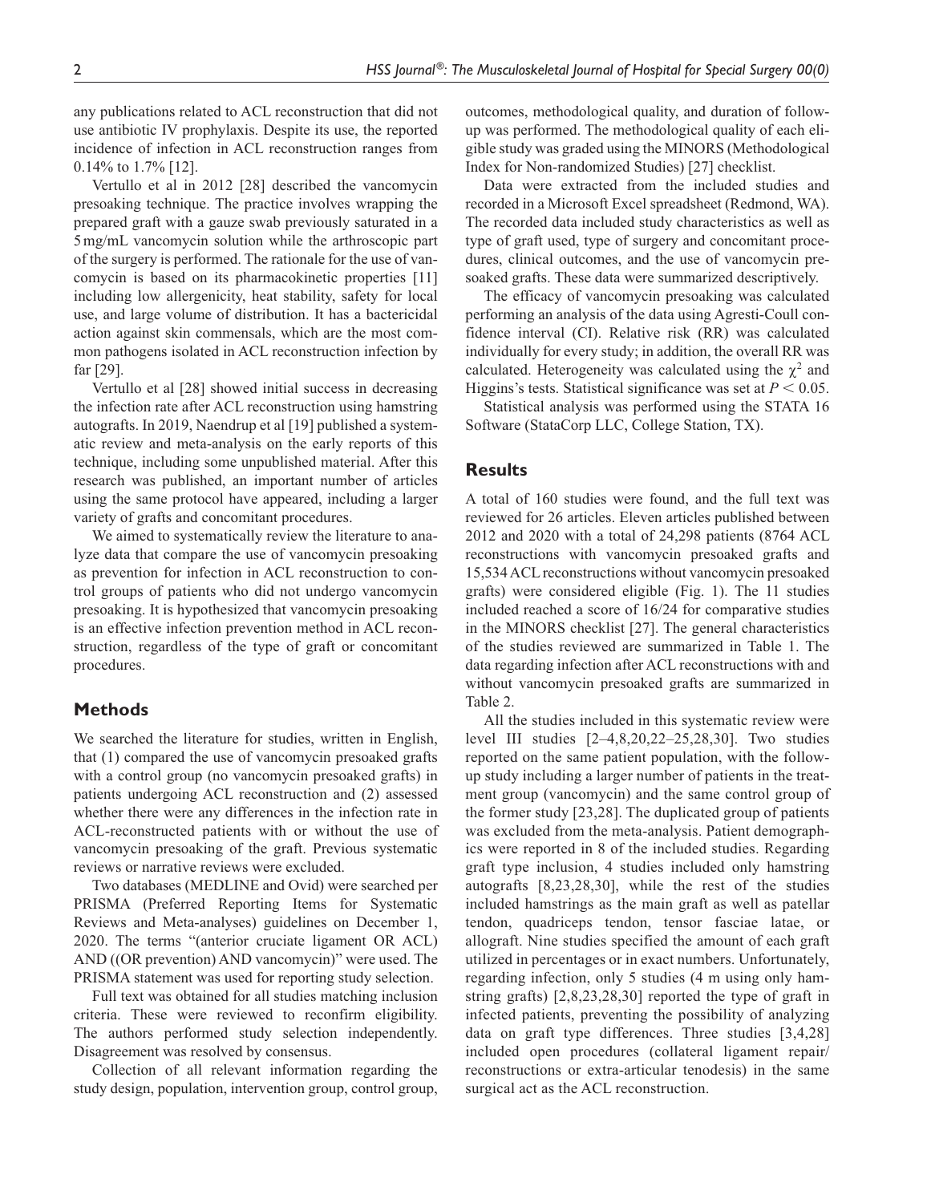any publications related to ACL reconstruction that did not use antibiotic IV prophylaxis. Despite its use, the reported incidence of infection in ACL reconstruction ranges from 0.14% to 1.7% [12].

Vertullo et al in 2012 [28] described the vancomycin presoaking technique. The practice involves wrapping the prepared graft with a gauze swab previously saturated in a 5mg/mL vancomycin solution while the arthroscopic part of the surgery is performed. The rationale for the use of vancomycin is based on its pharmacokinetic properties [11] including low allergenicity, heat stability, safety for local use, and large volume of distribution. It has a bactericidal action against skin commensals, which are the most common pathogens isolated in ACL reconstruction infection by far [29].

Vertullo et al [28] showed initial success in decreasing the infection rate after ACL reconstruction using hamstring autografts. In 2019, Naendrup et al [19] published a systematic review and meta-analysis on the early reports of this technique, including some unpublished material. After this research was published, an important number of articles using the same protocol have appeared, including a larger variety of grafts and concomitant procedures.

We aimed to systematically review the literature to analyze data that compare the use of vancomycin presoaking as prevention for infection in ACL reconstruction to control groups of patients who did not undergo vancomycin presoaking. It is hypothesized that vancomycin presoaking is an effective infection prevention method in ACL reconstruction, regardless of the type of graft or concomitant procedures.

## **Methods**

We searched the literature for studies, written in English, that (1) compared the use of vancomycin presoaked grafts with a control group (no vancomycin presoaked grafts) in patients undergoing ACL reconstruction and (2) assessed whether there were any differences in the infection rate in ACL-reconstructed patients with or without the use of vancomycin presoaking of the graft. Previous systematic reviews or narrative reviews were excluded.

Two databases (MEDLINE and Ovid) were searched per PRISMA (Preferred Reporting Items for Systematic Reviews and Meta-analyses) guidelines on December 1, 2020. The terms "(anterior cruciate ligament OR ACL) AND ((OR prevention) AND vancomycin)" were used. The PRISMA statement was used for reporting study selection.

Full text was obtained for all studies matching inclusion criteria. These were reviewed to reconfirm eligibility. The authors performed study selection independently. Disagreement was resolved by consensus.

Collection of all relevant information regarding the study design, population, intervention group, control group, outcomes, methodological quality, and duration of followup was performed. The methodological quality of each eligible study was graded using the MINORS (Methodological Index for Non-randomized Studies) [27] checklist.

Data were extracted from the included studies and recorded in a Microsoft Excel spreadsheet (Redmond, WA). The recorded data included study characteristics as well as type of graft used, type of surgery and concomitant procedures, clinical outcomes, and the use of vancomycin presoaked grafts. These data were summarized descriptively.

The efficacy of vancomycin presoaking was calculated performing an analysis of the data using Agresti-Coull confidence interval (CI). Relative risk (RR) was calculated individually for every study; in addition, the overall RR was calculated. Heterogeneity was calculated using the  $\chi^2$  and Higgins's tests. Statistical significance was set at  $P < 0.05$ .

Statistical analysis was performed using the STATA 16 Software (StataCorp LLC, College Station, TX).

## **Results**

A total of 160 studies were found, and the full text was reviewed for 26 articles. Eleven articles published between 2012 and 2020 with a total of 24,298 patients (8764 ACL reconstructions with vancomycin presoaked grafts and 15,534 ACL reconstructions without vancomycin presoaked grafts) were considered eligible (Fig. 1). The 11 studies included reached a score of 16/24 for comparative studies in the MINORS checklist [27]. The general characteristics of the studies reviewed are summarized in Table 1. The data regarding infection after ACL reconstructions with and without vancomycin presoaked grafts are summarized in Table 2.

All the studies included in this systematic review were level III studies [2–4,8,20,22–25,28,30]. Two studies reported on the same patient population, with the followup study including a larger number of patients in the treatment group (vancomycin) and the same control group of the former study [23,28]. The duplicated group of patients was excluded from the meta-analysis. Patient demographics were reported in 8 of the included studies. Regarding graft type inclusion, 4 studies included only hamstring autografts [8,23,28,30], while the rest of the studies included hamstrings as the main graft as well as patellar tendon, quadriceps tendon, tensor fasciae latae, or allograft. Nine studies specified the amount of each graft utilized in percentages or in exact numbers. Unfortunately, regarding infection, only 5 studies (4 m using only hamstring grafts) [2,8,23,28,30] reported the type of graft in infected patients, preventing the possibility of analyzing data on graft type differences. Three studies [3,4,28] included open procedures (collateral ligament repair/ reconstructions or extra-articular tenodesis) in the same surgical act as the ACL reconstruction.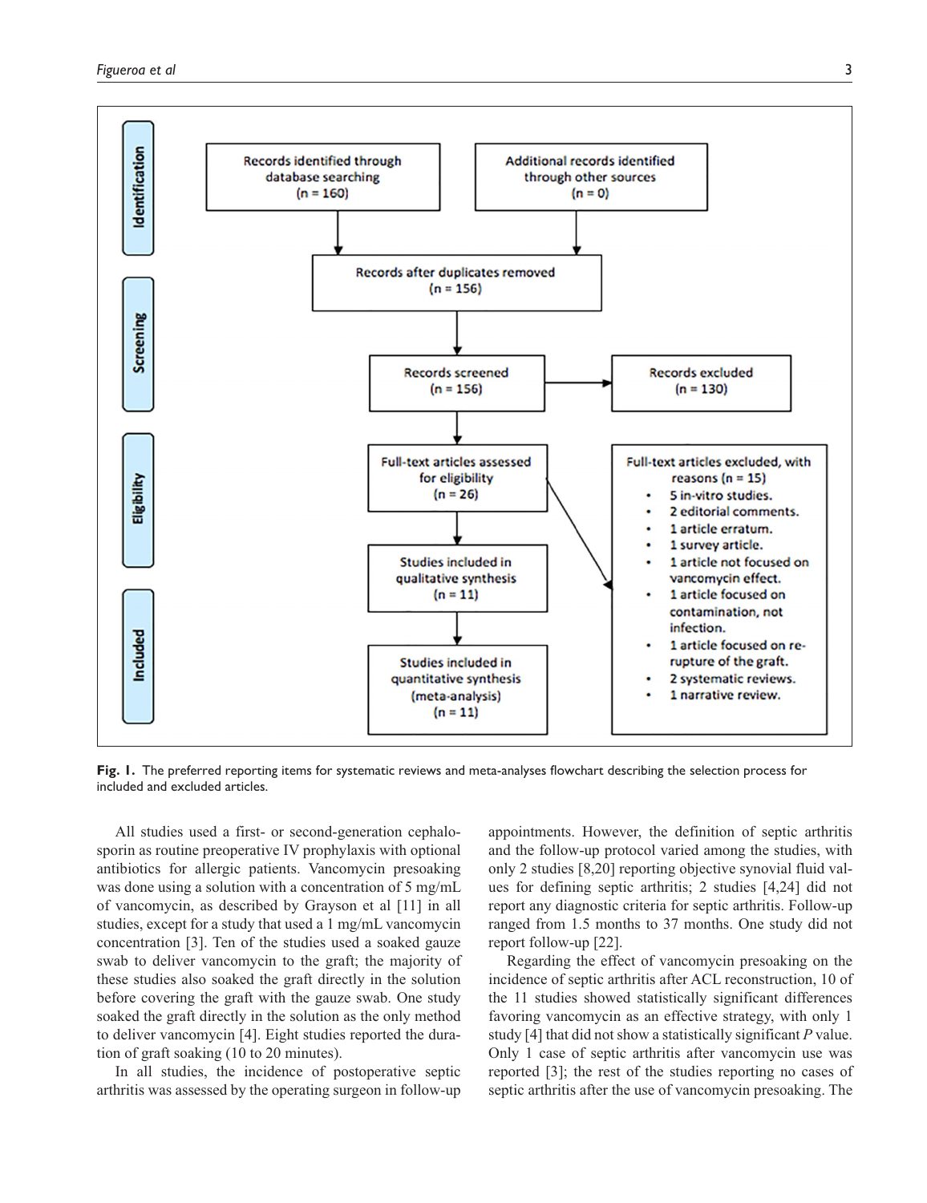

**Fig. 1.** The preferred reporting items for systematic reviews and meta-analyses flowchart describing the selection process for included and excluded articles.

All studies used a first- or second-generation cephalosporin as routine preoperative IV prophylaxis with optional antibiotics for allergic patients. Vancomycin presoaking was done using a solution with a concentration of 5 mg/mL of vancomycin, as described by Grayson et al [11] in all studies, except for a study that used a 1 mg/mL vancomycin concentration [3]. Ten of the studies used a soaked gauze swab to deliver vancomycin to the graft; the majority of these studies also soaked the graft directly in the solution before covering the graft with the gauze swab. One study soaked the graft directly in the solution as the only method to deliver vancomycin [4]. Eight studies reported the duration of graft soaking (10 to 20 minutes).

In all studies, the incidence of postoperative septic arthritis was assessed by the operating surgeon in follow-up

appointments. However, the definition of septic arthritis and the follow-up protocol varied among the studies, with only 2 studies [8,20] reporting objective synovial fluid values for defining septic arthritis; 2 studies [4,24] did not report any diagnostic criteria for septic arthritis. Follow-up ranged from 1.5 months to 37 months. One study did not report follow-up [22].

Regarding the effect of vancomycin presoaking on the incidence of septic arthritis after ACL reconstruction, 10 of the 11 studies showed statistically significant differences favoring vancomycin as an effective strategy, with only 1 study [4] that did not show a statistically significant *P* value. Only 1 case of septic arthritis after vancomycin use was reported [3]; the rest of the studies reporting no cases of septic arthritis after the use of vancomycin presoaking. The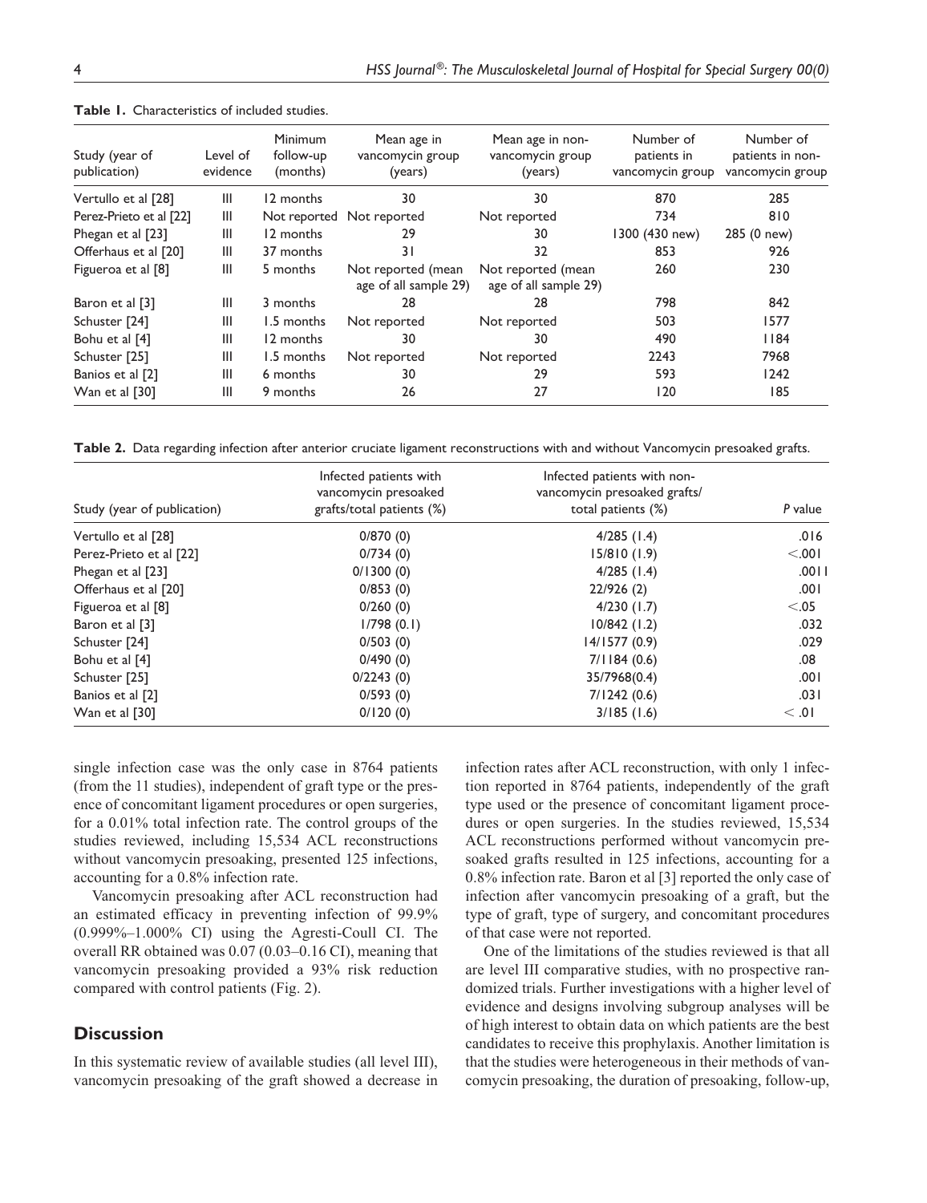| Study (year of<br>publication) | Level of<br>evidence | <b>Minimum</b><br>follow-up<br>(months) | Mean age in<br>vancomycin group<br>(years)  | Mean age in non-<br>vancomycin group<br>(years) | Number of<br>patients in<br>vancomycin group | Number of<br>patients in non-<br>vancomycin group |
|--------------------------------|----------------------|-----------------------------------------|---------------------------------------------|-------------------------------------------------|----------------------------------------------|---------------------------------------------------|
| Vertullo et al [28]            | Ш                    | 12 months                               | 30                                          | 30                                              | 870                                          | 285                                               |
| Perez-Prieto et al [22]        | Ш                    |                                         | Not reported Not reported                   | Not reported                                    | 734                                          | 810                                               |
| Phegan et al [23]              | Ш                    | 12 months                               | 29                                          | 30                                              | 1300 (430 new)                               | 285 (0 new)                                       |
| Offerhaus et al [20]           | Ш                    | 37 months                               | 31                                          | 32                                              | 853                                          | 926                                               |
| Figueroa et al [8]             | Ш                    | 5 months                                | Not reported (mean<br>age of all sample 29) | Not reported (mean<br>age of all sample 29)     | 260                                          | 230                                               |
| Baron et al [3]                | Ш                    | 3 months                                | 28                                          | 28                                              | 798                                          | 842                                               |
| Schuster [24]                  | Ш                    | 1.5 months                              | Not reported                                | Not reported                                    | 503                                          | 1577                                              |
| Bohu et al [4]                 | Ш                    | 12 months                               | 30                                          | 30                                              | 490                                          | 84                                                |
| Schuster [25]                  | Ш                    | 1.5 months                              | Not reported                                | Not reported                                    | 2243                                         | 7968                                              |
| Banios et al [2]               | Ш                    | 6 months                                | 30                                          | 29                                              | 593                                          | 1242                                              |
| Wan et al [30]                 | Ш                    | 9 months                                | 26                                          | 27                                              | 120                                          | 185                                               |
|                                |                      |                                         |                                             |                                                 |                                              |                                                   |

**Table 1.** Characteristics of included studies.

**Table 2.** Data regarding infection after anterior cruciate ligament reconstructions with and without Vancomycin presoaked grafts.

|                             | Infected patients with                            | Infected patients with non-                        |         |  |
|-----------------------------|---------------------------------------------------|----------------------------------------------------|---------|--|
| Study (year of publication) | vancomycin presoaked<br>grafts/total patients (%) | vancomycin presoaked grafts/<br>total patients (%) | P value |  |
| Vertullo et al [28]         | 0/870(0)                                          | $4/285$ (1.4)                                      | .016    |  |
| Perez-Prieto et al [22]     | 0/734(0)                                          | 15/810(1.9)                                        | < 0.01  |  |
| Phegan et al [23]           | 0/1300(0)                                         | $4/285$ (1.4)                                      | .0011   |  |
| Offerhaus et al [20]        | 0/853(0)                                          | 22/926(2)                                          | .001    |  |
| Figueroa et al [8]          | 0/260(0)                                          | 4/230(1.7)                                         | < 0.05  |  |
| Baron et al [3]             | 1/798(0.1)                                        | $10/842$ (1.2)                                     | .032    |  |
| Schuster [24]               | 0/503(0)                                          | 14/1577(0.9)                                       | .029    |  |
| Bohu et al [4]              | 0/490(0)                                          | 7/1184(0.6)                                        | .08     |  |
| Schuster [25]               | 0/2243(0)                                         | 35/7968(0.4)                                       | .001    |  |
| Banios et al [2]            | 0/593(0)                                          | 7/1242(0.6)                                        | .031    |  |
| Wan et al [30]              | 0/120(0)                                          | 3/185(1.6)                                         | < 0.01  |  |

single infection case was the only case in 8764 patients (from the 11 studies), independent of graft type or the presence of concomitant ligament procedures or open surgeries, for a 0.01% total infection rate. The control groups of the studies reviewed, including 15,534 ACL reconstructions without vancomycin presoaking, presented 125 infections, accounting for a 0.8% infection rate.

Vancomycin presoaking after ACL reconstruction had an estimated efficacy in preventing infection of 99.9% (0.999%–1.000% CI) using the Agresti-Coull CI. The overall RR obtained was 0.07 (0.03–0.16 CI), meaning that vancomycin presoaking provided a 93% risk reduction compared with control patients (Fig. 2).

## **Discussion**

In this systematic review of available studies (all level III), vancomycin presoaking of the graft showed a decrease in infection rates after ACL reconstruction, with only 1 infection reported in 8764 patients, independently of the graft type used or the presence of concomitant ligament procedures or open surgeries. In the studies reviewed, 15,534 ACL reconstructions performed without vancomycin presoaked grafts resulted in 125 infections, accounting for a 0.8% infection rate. Baron et al [3] reported the only case of infection after vancomycin presoaking of a graft, but the type of graft, type of surgery, and concomitant procedures of that case were not reported.

One of the limitations of the studies reviewed is that all are level III comparative studies, with no prospective randomized trials. Further investigations with a higher level of evidence and designs involving subgroup analyses will be of high interest to obtain data on which patients are the best candidates to receive this prophylaxis. Another limitation is that the studies were heterogeneous in their methods of vancomycin presoaking, the duration of presoaking, follow-up,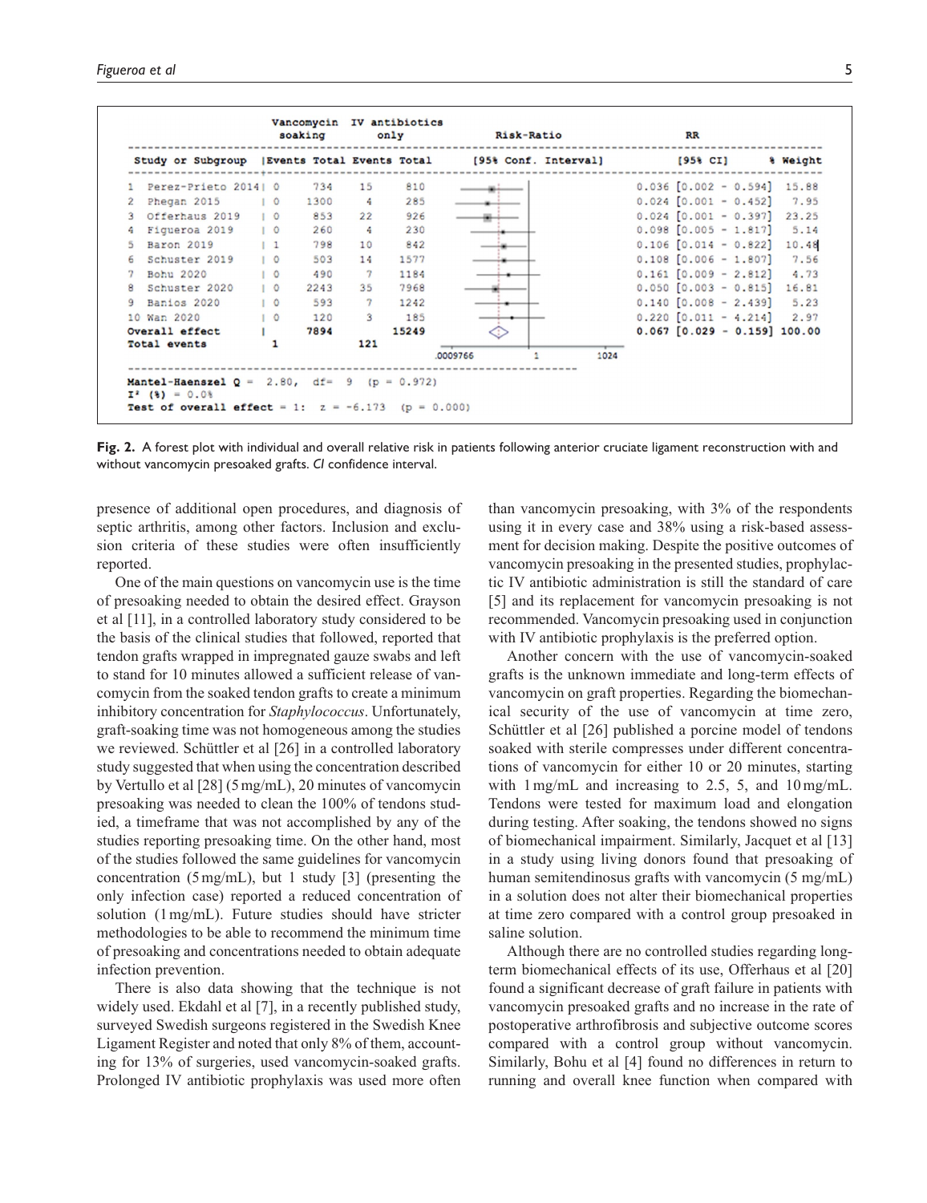|    | Study or Subgroup    |                  |      | Events Total Events Total |       | [95% Conf. Interval] | $[958 \text{ CI}]$               | % Weight |
|----|----------------------|------------------|------|---------------------------|-------|----------------------|----------------------------------|----------|
|    | Perez-Prieto 2014  0 |                  | 734  | 15                        | 810   |                      | $0.036$ $[0.002 - 0.594]$ 15.88  |          |
|    | Phegan 2015          | $^{\circ}$       | 1300 | 4                         | 285   |                      | $0.024$ $[0.001 - 0.452]$        | 7.95     |
|    | Offerhaus 2019       | 10               | 853  | 22                        | 926   |                      | $0.024$ $[0.001 - 0.397]$        | 23.25    |
| -9 | Figueroa 2019        | $\overline{1}$ 0 | 260  | 4                         | 230   |                      | $0.098$ $[0.005 - 1.817]$        | 5.14     |
|    | Baron 2019           | $1\quad1$        | 798  | 10                        | 842   |                      | $0.106$ $[0.014 - 0.822]$        | 10.48    |
| 6. | Schuster 2019        | 10               | 503  | 14                        | 1577  |                      | $0.108$ $[0.006 - 1.807]$        | 7.56     |
|    | Bohu 2020            | $\circ$          | 490  | $\mathcal{L}$             | 1184  |                      | $0.161$ $[0.009 - 2.812]$        | 4.73     |
| 8  | Schuster 2020        | 10               | 2243 | 35                        | 7968  |                      | $0.050$ $[0.003 - 0.815]$        | 16.81    |
| 9  | Banios 2020          | 10               | 593  | $\overline{7}$            | 1242  |                      | $0.140$ $[0.008 - 2.439]$        | 5.23     |
|    | 10 Wan 2020          | 10               | 120  | 3                         | 185   |                      | $0.220$ $[0.011 - 4.214]$        | 2.97     |
|    | Overall effect       |                  | 7894 |                           | 15249 |                      | $0.067$ $[0.029 - 0.159]$ 100.00 |          |
|    | Total events         | 1                |      | 121                       |       |                      |                                  |          |
|    |                      |                  |      |                           |       | 1024<br>.0009766     |                                  |          |

**Fig. 2.** A forest plot with individual and overall relative risk in patients following anterior cruciate ligament reconstruction with and without vancomycin presoaked grafts. *CI* confidence interval.

presence of additional open procedures, and diagnosis of septic arthritis, among other factors. Inclusion and exclusion criteria of these studies were often insufficiently reported.

One of the main questions on vancomycin use is the time of presoaking needed to obtain the desired effect. Grayson et al [11], in a controlled laboratory study considered to be the basis of the clinical studies that followed, reported that tendon grafts wrapped in impregnated gauze swabs and left to stand for 10 minutes allowed a sufficient release of vancomycin from the soaked tendon grafts to create a minimum inhibitory concentration for *Staphylococcus*. Unfortunately, graft-soaking time was not homogeneous among the studies we reviewed. Schüttler et al [26] in a controlled laboratory study suggested that when using the concentration described by Vertullo et al [28] (5mg/mL), 20 minutes of vancomycin presoaking was needed to clean the 100% of tendons studied, a timeframe that was not accomplished by any of the studies reporting presoaking time. On the other hand, most of the studies followed the same guidelines for vancomycin concentration (5mg/mL), but 1 study [3] (presenting the only infection case) reported a reduced concentration of solution (1mg/mL). Future studies should have stricter methodologies to be able to recommend the minimum time of presoaking and concentrations needed to obtain adequate infection prevention.

There is also data showing that the technique is not widely used. Ekdahl et al [7], in a recently published study, surveyed Swedish surgeons registered in the Swedish Knee Ligament Register and noted that only 8% of them, accounting for 13% of surgeries, used vancomycin-soaked grafts. Prolonged IV antibiotic prophylaxis was used more often

than vancomycin presoaking, with 3% of the respondents using it in every case and 38% using a risk-based assessment for decision making. Despite the positive outcomes of vancomycin presoaking in the presented studies, prophylactic IV antibiotic administration is still the standard of care [5] and its replacement for vancomycin presoaking is not recommended. Vancomycin presoaking used in conjunction with IV antibiotic prophylaxis is the preferred option.

Another concern with the use of vancomycin-soaked grafts is the unknown immediate and long-term effects of vancomycin on graft properties. Regarding the biomechanical security of the use of vancomycin at time zero, Schüttler et al [26] published a porcine model of tendons soaked with sterile compresses under different concentrations of vancomycin for either 10 or 20 minutes, starting with 1mg/mL and increasing to 2.5, 5, and 10mg/mL. Tendons were tested for maximum load and elongation during testing. After soaking, the tendons showed no signs of biomechanical impairment. Similarly, Jacquet et al [13] in a study using living donors found that presoaking of human semitendinosus grafts with vancomycin (5 mg/mL) in a solution does not alter their biomechanical properties at time zero compared with a control group presoaked in saline solution.

Although there are no controlled studies regarding longterm biomechanical effects of its use, Offerhaus et al [20] found a significant decrease of graft failure in patients with vancomycin presoaked grafts and no increase in the rate of postoperative arthrofibrosis and subjective outcome scores compared with a control group without vancomycin. Similarly, Bohu et al [4] found no differences in return to running and overall knee function when compared with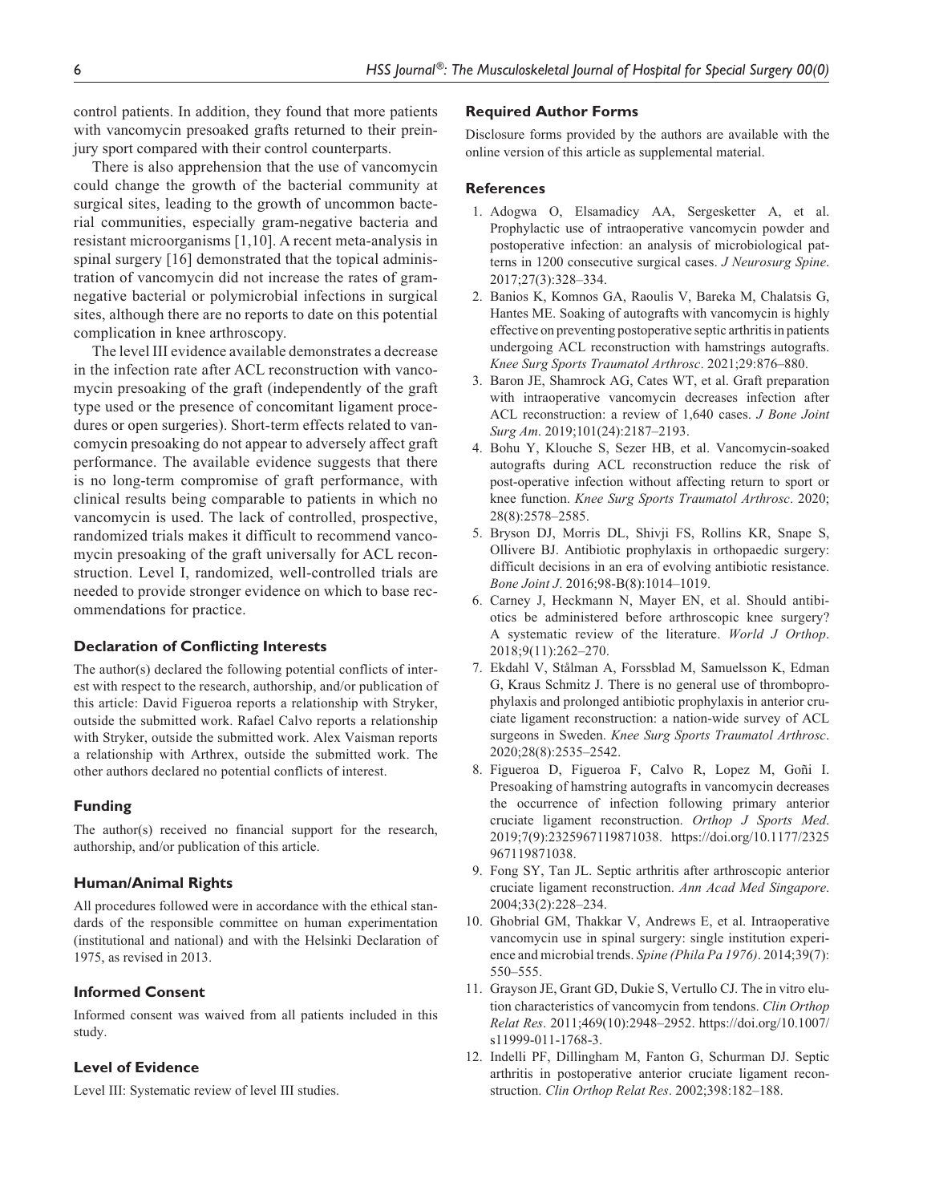control patients. In addition, they found that more patients with vancomycin presoaked grafts returned to their preinjury sport compared with their control counterparts.

There is also apprehension that the use of vancomycin could change the growth of the bacterial community at surgical sites, leading to the growth of uncommon bacterial communities, especially gram-negative bacteria and resistant microorganisms [1,10]. A recent meta-analysis in spinal surgery [16] demonstrated that the topical administration of vancomycin did not increase the rates of gramnegative bacterial or polymicrobial infections in surgical sites, although there are no reports to date on this potential complication in knee arthroscopy.

The level III evidence available demonstrates a decrease in the infection rate after ACL reconstruction with vancomycin presoaking of the graft (independently of the graft type used or the presence of concomitant ligament procedures or open surgeries). Short-term effects related to vancomycin presoaking do not appear to adversely affect graft performance. The available evidence suggests that there is no long-term compromise of graft performance, with clinical results being comparable to patients in which no vancomycin is used. The lack of controlled, prospective, randomized trials makes it difficult to recommend vancomycin presoaking of the graft universally for ACL reconstruction. Level I, randomized, well-controlled trials are needed to provide stronger evidence on which to base recommendations for practice.

## **Declaration of Conflicting Interests**

The author(s) declared the following potential conflicts of interest with respect to the research, authorship, and/or publication of this article: David Figueroa reports a relationship with Stryker, outside the submitted work. Rafael Calvo reports a relationship with Stryker, outside the submitted work. Alex Vaisman reports a relationship with Arthrex, outside the submitted work. The other authors declared no potential conflicts of interest.

### **Funding**

The author(s) received no financial support for the research, authorship, and/or publication of this article.

#### **Human/Animal Rights**

All procedures followed were in accordance with the ethical standards of the responsible committee on human experimentation (institutional and national) and with the Helsinki Declaration of 1975, as revised in 2013.

## **Informed Consent**

Informed consent was waived from all patients included in this study.

## **Level of Evidence**

Level III: Systematic review of level III studies.

#### **Required Author Forms**

Disclosure forms provided by the authors are available with the online version of this article as supplemental material.

#### **References**

- 1. Adogwa O, Elsamadicy AA, Sergesketter A, et al. Prophylactic use of intraoperative vancomycin powder and postoperative infection: an analysis of microbiological patterns in 1200 consecutive surgical cases. *J Neurosurg Spine*. 2017;27(3):328–334.
- 2. Banios K, Komnos GA, Raoulis V, Bareka M, Chalatsis G, Hantes ME. Soaking of autografts with vancomycin is highly effective on preventing postoperative septic arthritis in patients undergoing ACL reconstruction with hamstrings autografts. *Knee Surg Sports Traumatol Arthrosc*. 2021;29:876–880.
- 3. Baron JE, Shamrock AG, Cates WT, et al. Graft preparation with intraoperative vancomycin decreases infection after ACL reconstruction: a review of 1,640 cases. *J Bone Joint Surg Am*. 2019;101(24):2187–2193.
- 4. Bohu Y, Klouche S, Sezer HB, et al. Vancomycin-soaked autografts during ACL reconstruction reduce the risk of post-operative infection without affecting return to sport or knee function. *Knee Surg Sports Traumatol Arthrosc*. 2020; 28(8):2578–2585.
- 5. Bryson DJ, Morris DL, Shivji FS, Rollins KR, Snape S, Ollivere BJ. Antibiotic prophylaxis in orthopaedic surgery: difficult decisions in an era of evolving antibiotic resistance. *Bone Joint J*. 2016;98-B(8):1014–1019.
- 6. Carney J, Heckmann N, Mayer EN, et al. Should antibiotics be administered before arthroscopic knee surgery? A systematic review of the literature. *World J Orthop*. 2018;9(11):262–270.
- 7. Ekdahl V, Stålman A, Forssblad M, Samuelsson K, Edman G, Kraus Schmitz J. There is no general use of thromboprophylaxis and prolonged antibiotic prophylaxis in anterior cruciate ligament reconstruction: a nation-wide survey of ACL surgeons in Sweden. *Knee Surg Sports Traumatol Arthrosc*. 2020;28(8):2535–2542.
- 8. Figueroa D, Figueroa F, Calvo R, Lopez M, Goñi I. Presoaking of hamstring autografts in vancomycin decreases the occurrence of infection following primary anterior cruciate ligament reconstruction. *Orthop J Sports Med*. 2019;7(9):2325967119871038. [https://doi.org/10.1177/2325](https://doi.org/10.1177/2325967119871038) [967119871038](https://doi.org/10.1177/2325967119871038).
- 9. Fong SY, Tan JL. Septic arthritis after arthroscopic anterior cruciate ligament reconstruction. *Ann Acad Med Singapore*. 2004;33(2):228–234.
- 10. Ghobrial GM, Thakkar V, Andrews E, et al. Intraoperative vancomycin use in spinal surgery: single institution experience and microbial trends. *Spine (Phila Pa 1976)*. 2014;39(7): 550–555.
- 11. Grayson JE, Grant GD, Dukie S, Vertullo CJ. The in vitro elution characteristics of vancomycin from tendons. *Clin Orthop Relat Res*. 2011;469(10):2948–2952. [https://doi.org/10.1007/](https://doi.org/10.1007/s11999-011-1768-3) [s11999-011-1768-3.](https://doi.org/10.1007/s11999-011-1768-3)
- 12. Indelli PF, Dillingham M, Fanton G, Schurman DJ. Septic arthritis in postoperative anterior cruciate ligament reconstruction. *Clin Orthop Relat Res*. 2002;398:182–188.